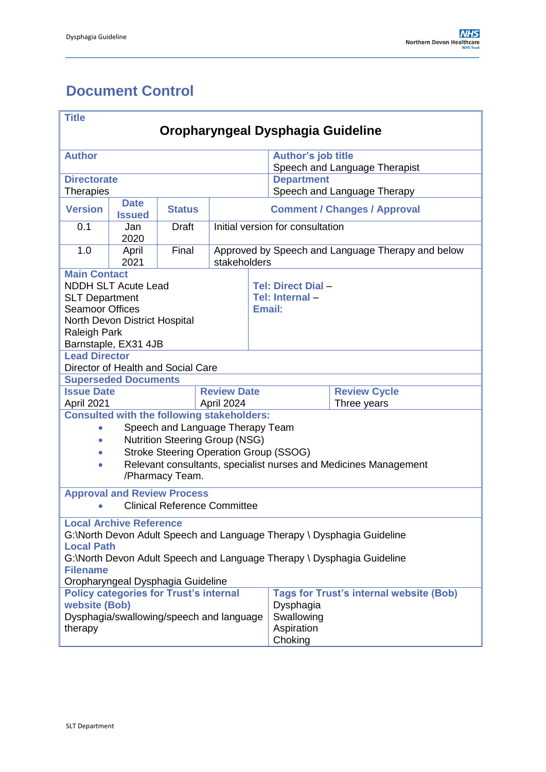# <span id="page-0-0"></span>**Document Control**

| <b>Title</b>                                                                |                                |                                                   |                    |                                                   |                               |                                                                  |  |
|-----------------------------------------------------------------------------|--------------------------------|---------------------------------------------------|--------------------|---------------------------------------------------|-------------------------------|------------------------------------------------------------------|--|
| Oropharyngeal Dysphagia Guideline                                           |                                |                                                   |                    |                                                   |                               |                                                                  |  |
| <b>Author</b>                                                               |                                |                                                   |                    |                                                   | <b>Author's job title</b>     |                                                                  |  |
|                                                                             |                                |                                                   |                    |                                                   | Speech and Language Therapist |                                                                  |  |
| <b>Directorate</b>                                                          |                                |                                                   |                    |                                                   | <b>Department</b>             |                                                                  |  |
| <b>Therapies</b>                                                            |                                |                                                   |                    |                                                   |                               | Speech and Language Therapy                                      |  |
| <b>Version</b>                                                              | <b>Date</b><br><b>Issued</b>   | <b>Status</b>                                     |                    | <b>Comment / Changes / Approval</b>               |                               |                                                                  |  |
| 0.1                                                                         | Jan<br>2020                    | <b>Draft</b>                                      |                    | Initial version for consultation                  |                               |                                                                  |  |
| 1.0                                                                         | April<br>2021                  | Final                                             | stakeholders       | Approved by Speech and Language Therapy and below |                               |                                                                  |  |
| <b>Main Contact</b>                                                         |                                |                                                   |                    |                                                   |                               |                                                                  |  |
|                                                                             | <b>NDDH SLT Acute Lead</b>     |                                                   |                    |                                                   | Tel: Direct Dial-             |                                                                  |  |
| <b>SLT Department</b>                                                       |                                |                                                   |                    |                                                   | Tel: Internal-                |                                                                  |  |
| <b>Seamoor Offices</b>                                                      |                                |                                                   |                    | Email:                                            |                               |                                                                  |  |
| <b>Raleigh Park</b>                                                         | North Devon District Hospital  |                                                   |                    |                                                   |                               |                                                                  |  |
|                                                                             | Barnstaple, EX31 4JB           |                                                   |                    |                                                   |                               |                                                                  |  |
| <b>Lead Director</b>                                                        |                                |                                                   |                    |                                                   |                               |                                                                  |  |
|                                                                             |                                | Director of Health and Social Care                |                    |                                                   |                               |                                                                  |  |
|                                                                             | <b>Superseded Documents</b>    |                                                   |                    |                                                   |                               |                                                                  |  |
| <b>Issue Date</b>                                                           |                                |                                                   | <b>Review Date</b> |                                                   |                               | <b>Review Cycle</b>                                              |  |
| April 2021                                                                  | April 2024                     |                                                   |                    |                                                   | Three years                   |                                                                  |  |
|                                                                             |                                | <b>Consulted with the following stakeholders:</b> |                    |                                                   |                               |                                                                  |  |
| $\bullet$                                                                   |                                | Speech and Language Therapy Team                  |                    |                                                   |                               |                                                                  |  |
| $\bullet$                                                                   |                                | <b>Nutrition Steering Group (NSG)</b>             |                    |                                                   |                               |                                                                  |  |
|                                                                             |                                | <b>Stroke Steering Operation Group (SSOG)</b>     |                    |                                                   |                               |                                                                  |  |
| $\bullet$                                                                   |                                |                                                   |                    |                                                   |                               | Relevant consultants, specialist nurses and Medicines Management |  |
|                                                                             |                                | /Pharmacy Team.                                   |                    |                                                   |                               |                                                                  |  |
|                                                                             |                                | <b>Approval and Review Process</b>                |                    |                                                   |                               |                                                                  |  |
|                                                                             |                                | <b>Clinical Reference Committee</b>               |                    |                                                   |                               |                                                                  |  |
|                                                                             | <b>Local Archive Reference</b> |                                                   |                    |                                                   |                               |                                                                  |  |
| G:\North Devon Adult Speech and Language Therapy \ Dysphagia Guideline      |                                |                                                   |                    |                                                   |                               |                                                                  |  |
| <b>Local Path</b>                                                           |                                |                                                   |                    |                                                   |                               |                                                                  |  |
| G:\North Devon Adult Speech and Language Therapy \ Dysphagia Guideline      |                                |                                                   |                    |                                                   |                               |                                                                  |  |
| <b>Filename</b><br>Oropharyngeal Dysphagia Guideline                        |                                |                                                   |                    |                                                   |                               |                                                                  |  |
|                                                                             |                                |                                                   |                    |                                                   |                               | <b>Tags for Trust's internal website (Bob)</b>                   |  |
| <b>Policy categories for Trust's internal</b><br>website (Bob)<br>Dysphagia |                                |                                                   |                    |                                                   |                               |                                                                  |  |
| Dysphagia/swallowing/speech and language<br>Swallowing                      |                                |                                                   |                    |                                                   |                               |                                                                  |  |
| therapy<br>Aspiration                                                       |                                |                                                   |                    |                                                   |                               |                                                                  |  |
|                                                                             |                                |                                                   |                    | Choking                                           |                               |                                                                  |  |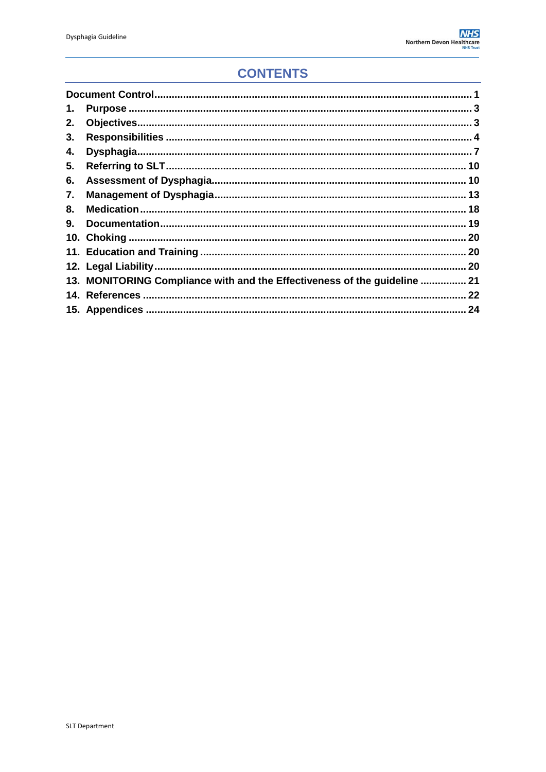# **CONTENTS**

| 1. |                                                                           |  |
|----|---------------------------------------------------------------------------|--|
| 2. |                                                                           |  |
| 3. |                                                                           |  |
| 4. |                                                                           |  |
| 5. |                                                                           |  |
| 6. |                                                                           |  |
| 7. |                                                                           |  |
| 8. |                                                                           |  |
| 9. |                                                                           |  |
|    |                                                                           |  |
|    |                                                                           |  |
|    |                                                                           |  |
|    | 13. MONITORING Compliance with and the Effectiveness of the guideline  21 |  |
|    |                                                                           |  |
|    |                                                                           |  |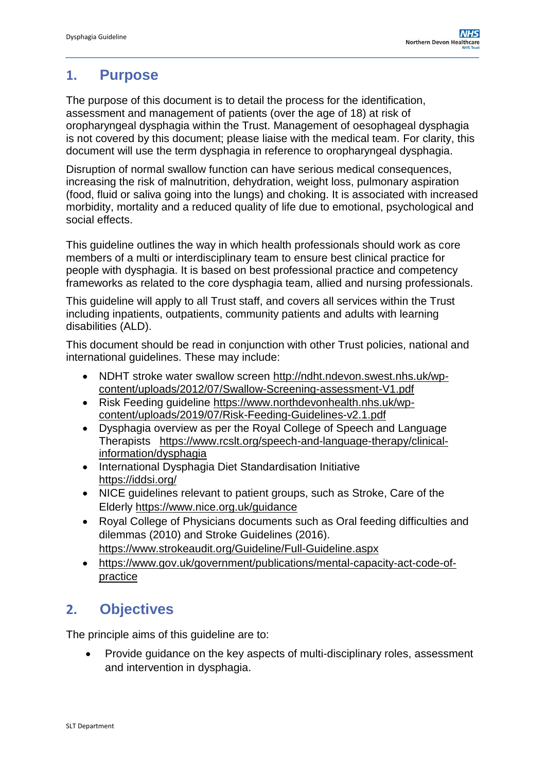### <span id="page-2-0"></span>**1. Purpose**

The purpose of this document is to detail the process for the identification, assessment and management of patients (over the age of 18) at risk of oropharyngeal dysphagia within the Trust. Management of oesophageal dysphagia is not covered by this document; please liaise with the medical team. For clarity, this document will use the term dysphagia in reference to oropharyngeal dysphagia.

Disruption of normal swallow function can have serious medical consequences, increasing the risk of malnutrition, dehydration, weight loss, pulmonary aspiration (food, fluid or saliva going into the lungs) and choking. It is associated with increased morbidity, mortality and a reduced quality of life due to emotional, psychological and social effects.

This guideline outlines the way in which health professionals should work as core members of a multi or interdisciplinary team to ensure best clinical practice for people with dysphagia. It is based on best professional practice and competency frameworks as related to the core dysphagia team, allied and nursing professionals.

This guideline will apply to all Trust staff, and covers all services within the Trust including inpatients, outpatients, community patients and adults with learning disabilities (ALD).

This document should be read in conjunction with other Trust policies, national and international guidelines. These may include:

- NDHT stroke water swallow screen [http://ndht.ndevon.swest.nhs.uk/wp](http://ndht.ndevon.swest.nhs.uk/wp-content/uploads/2012/07/Swallow-Screening-assessment-V1.pdf)[content/uploads/2012/07/Swallow-Screening-assessment-V1.pdf](http://ndht.ndevon.swest.nhs.uk/wp-content/uploads/2012/07/Swallow-Screening-assessment-V1.pdf)
- Risk Feeding guideline [https://www.northdevonhealth.nhs.uk/wp](https://www.northdevonhealth.nhs.uk/wp-content/uploads/2019/07/Risk-Feeding-Guidelines-v2.1.pdf)[content/uploads/2019/07/Risk-Feeding-Guidelines-v2.1.pdf](https://www.northdevonhealth.nhs.uk/wp-content/uploads/2019/07/Risk-Feeding-Guidelines-v2.1.pdf)
- Dysphagia overview as per the Royal College of Speech and Language Therapists [https://www.rcslt.org/speech-and-language-therapy/clinical](https://www.rcslt.org/speech-and-language-therapy/clinical-information/dysphagia)[information/dysphagia](https://www.rcslt.org/speech-and-language-therapy/clinical-information/dysphagia)
- International Dysphagia Diet Standardisation Initiative <https://iddsi.org/>
- NICE guidelines relevant to patient groups, such as Stroke, Care of the Elderly <https://www.nice.org.uk/guidance>
- Royal College of Physicians documents such as Oral feeding difficulties and dilemmas (2010) and Stroke Guidelines (2016). <https://www.strokeaudit.org/Guideline/Full-Guideline.aspx>
- [https://www.gov.uk/government/publications/mental-capacity-act-code-of](https://www.gov.uk/government/publications/mental-capacity-act-code-of-practice)[practice](https://www.gov.uk/government/publications/mental-capacity-act-code-of-practice)

# <span id="page-2-1"></span>**2. Objectives**

The principle aims of this guideline are to:

 Provide guidance on the key aspects of multi-disciplinary roles, assessment and intervention in dysphagia.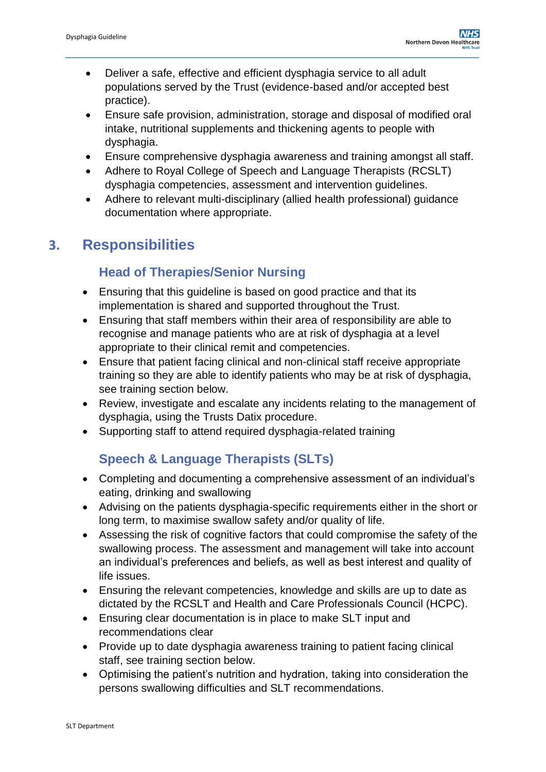- Deliver a safe, effective and efficient dysphagia service to all adult populations served by the Trust (evidence-based and/or accepted best practice).
- Ensure safe provision, administration, storage and disposal of modified oral intake, nutritional supplements and thickening agents to people with dysphagia.
- Ensure comprehensive dysphagia awareness and training amongst all staff.
- Adhere to Royal College of Speech and Language Therapists (RCSLT) dysphagia competencies, assessment and intervention guidelines.
- Adhere to relevant multi-disciplinary (allied health professional) guidance documentation where appropriate.

# <span id="page-3-0"></span>**3. Responsibilities**

### **Head of Therapies/Senior Nursing**

- Ensuring that this guideline is based on good practice and that its implementation is shared and supported throughout the Trust.
- Ensuring that staff members within their area of responsibility are able to recognise and manage patients who are at risk of dysphagia at a level appropriate to their clinical remit and competencies.
- Ensure that patient facing clinical and non-clinical staff receive appropriate training so they are able to identify patients who may be at risk of dysphagia, see training section below.
- Review, investigate and escalate any incidents relating to the management of dysphagia, using the Trusts Datix procedure.
- Supporting staff to attend required dysphagia-related training

# **Speech & Language Therapists (SLTs)**

- Completing and documenting a comprehensive assessment of an individual's eating, drinking and swallowing
- Advising on the patients dysphagia-specific requirements either in the short or long term, to maximise swallow safety and/or quality of life.
- Assessing the risk of cognitive factors that could compromise the safety of the swallowing process. The assessment and management will take into account an individual's preferences and beliefs, as well as best interest and quality of life issues.
- Ensuring the relevant competencies, knowledge and skills are up to date as dictated by the RCSLT and Health and Care Professionals Council (HCPC).
- Ensuring clear documentation is in place to make SLT input and recommendations clear
- Provide up to date dysphagia awareness training to patient facing clinical staff, see training section below.
- Optimising the patient's nutrition and hydration, taking into consideration the persons swallowing difficulties and SLT recommendations.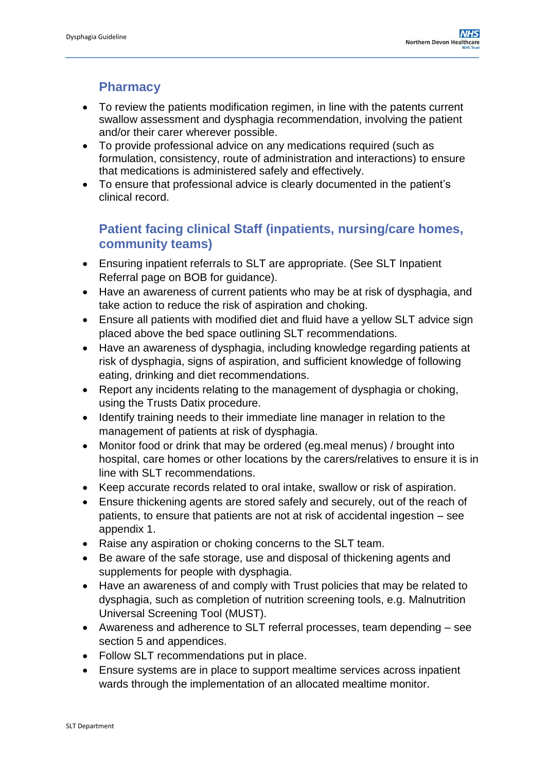### **Pharmacy**

- To review the patients modification regimen, in line with the patents current swallow assessment and dysphagia recommendation, involving the patient and/or their carer wherever possible.
- To provide professional advice on any medications required (such as formulation, consistency, route of administration and interactions) to ensure that medications is administered safely and effectively.
- To ensure that professional advice is clearly documented in the patient's clinical record.

### **Patient facing clinical Staff (inpatients, nursing/care homes, community teams)**

- Ensuring inpatient referrals to SLT are appropriate. (See SLT Inpatient Referral page on BOB for guidance).
- Have an awareness of current patients who may be at risk of dysphagia, and take action to reduce the risk of aspiration and choking.
- Ensure all patients with modified diet and fluid have a yellow SLT advice sign placed above the bed space outlining SLT recommendations.
- Have an awareness of dysphagia, including knowledge regarding patients at risk of dysphagia, signs of aspiration, and sufficient knowledge of following eating, drinking and diet recommendations.
- Report any incidents relating to the management of dysphagia or choking, using the Trusts Datix procedure.
- Identify training needs to their immediate line manager in relation to the management of patients at risk of dysphagia.
- Monitor food or drink that may be ordered (eg.meal menus) / brought into hospital, care homes or other locations by the carers/relatives to ensure it is in line with SLT recommendations.
- Keep accurate records related to oral intake, swallow or risk of aspiration.
- Ensure thickening agents are stored safely and securely, out of the reach of patients, to ensure that patients are not at risk of accidental ingestion – see appendix 1.
- Raise any aspiration or choking concerns to the SLT team.
- Be aware of the safe storage, use and disposal of thickening agents and supplements for people with dysphagia.
- Have an awareness of and comply with Trust policies that may be related to dysphagia, such as completion of nutrition screening tools, e.g. Malnutrition Universal Screening Tool (MUST).
- Awareness and adherence to SLT referral processes, team depending see section 5 and appendices.
- Follow SLT recommendations put in place.
- Ensure systems are in place to support mealtime services across inpatient wards through the implementation of an allocated mealtime monitor.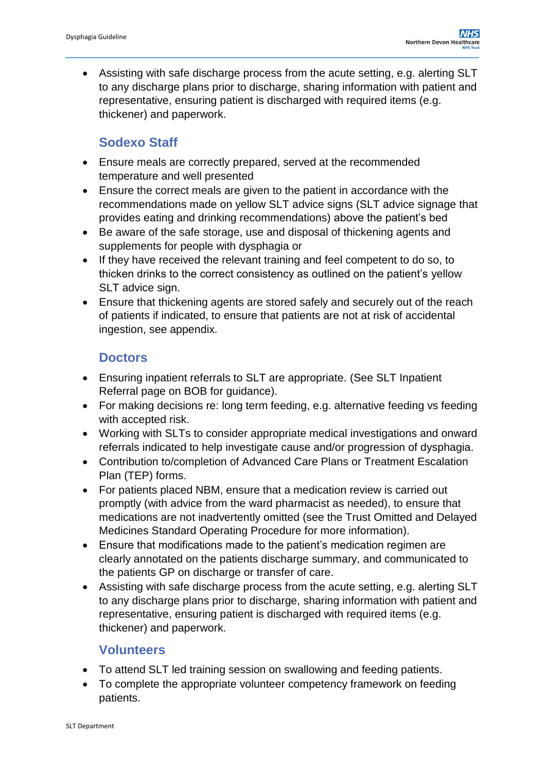Assisting with safe discharge process from the acute setting, e.g. alerting SLT to any discharge plans prior to discharge, sharing information with patient and representative, ensuring patient is discharged with required items (e.g. thickener) and paperwork.

### **Sodexo Staff**

- Ensure meals are correctly prepared, served at the recommended temperature and well presented
- Ensure the correct meals are given to the patient in accordance with the recommendations made on yellow SLT advice signs (SLT advice signage that provides eating and drinking recommendations) above the patient's bed
- Be aware of the safe storage, use and disposal of thickening agents and supplements for people with dysphagia or
- If they have received the relevant training and feel competent to do so, to thicken drinks to the correct consistency as outlined on the patient's yellow SLT advice sign.
- Ensure that thickening agents are stored safely and securely out of the reach of patients if indicated, to ensure that patients are not at risk of accidental ingestion, see appendix.

### **Doctors**

- Ensuring inpatient referrals to SLT are appropriate. (See SLT Inpatient Referral page on BOB for guidance).
- For making decisions re: long term feeding, e.g. alternative feeding vs feeding with accepted risk.
- Working with SLTs to consider appropriate medical investigations and onward referrals indicated to help investigate cause and/or progression of dysphagia.
- Contribution to/completion of Advanced Care Plans or Treatment Escalation Plan (TEP) forms.
- For patients placed NBM, ensure that a medication review is carried out promptly (with advice from the ward pharmacist as needed), to ensure that medications are not inadvertently omitted (see the [Trust Omitted and Delayed](https://ndht.ndevon.swest.nhs.uk/omitted-and-delayed-medicines-standard-operating-procedure/)  [Medicines Standard Operating Procedure](https://ndht.ndevon.swest.nhs.uk/omitted-and-delayed-medicines-standard-operating-procedure/) for more information).
- Ensure that modifications made to the patient's medication regimen are clearly annotated on the patients discharge summary, and communicated to the patients GP on discharge or transfer of care.
- Assisting with safe discharge process from the acute setting, e.g. alerting SLT to any discharge plans prior to discharge, sharing information with patient and representative, ensuring patient is discharged with required items (e.g. thickener) and paperwork.

### **Volunteers**

- To attend SLT led training session on swallowing and feeding patients.
- To complete the appropriate volunteer competency framework on feeding patients.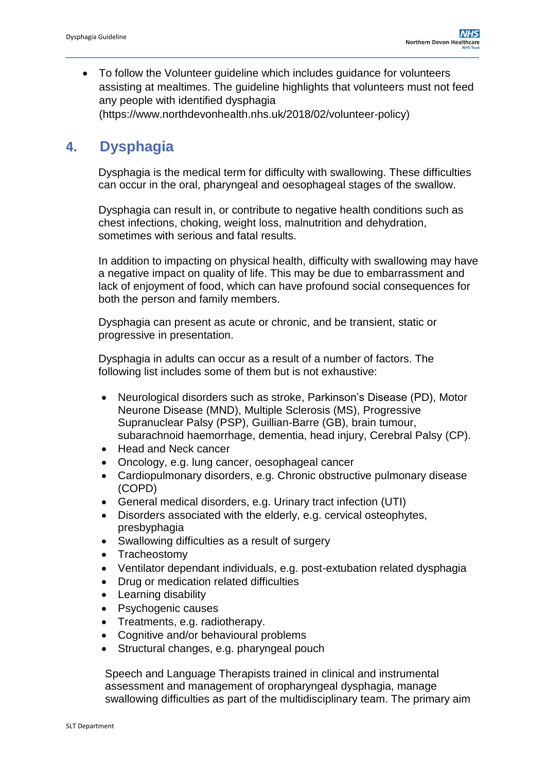To follow the Volunteer guideline which includes guidance for volunteers assisting at mealtimes. The guideline highlights that volunteers must not feed any people with identified dysphagia (https://www.northdevonhealth.nhs.uk/2018/02/volunteer-policy)

### <span id="page-6-0"></span>**4. Dysphagia**

Dysphagia is the medical term for difficulty with swallowing. These difficulties can occur in the oral, pharyngeal and oesophageal stages of the swallow.

Dysphagia can result in, or contribute to negative health conditions such as chest infections, choking, weight loss, malnutrition and dehydration, sometimes with serious and fatal results.

In addition to impacting on physical health, difficulty with swallowing may have a negative impact on quality of life. This may be due to embarrassment and lack of enjoyment of food, which can have profound social consequences for both the person and family members.

Dysphagia can present as acute or chronic, and be transient, static or progressive in presentation.

Dysphagia in adults can occur as a result of a number of factors. The following list includes some of them but is not exhaustive:

- Neurological disorders such as stroke, Parkinson's Disease (PD), Motor Neurone Disease (MND), Multiple Sclerosis (MS), Progressive Supranuclear Palsy (PSP), Guillian-Barre (GB), brain tumour, subarachnoid haemorrhage, dementia, head injury, Cerebral Palsy (CP).
- Head and Neck cancer
- Oncology, e.g. lung cancer, oesophageal cancer
- Cardiopulmonary disorders, e.g. Chronic obstructive pulmonary disease (COPD)
- General medical disorders, e.g. Urinary tract infection (UTI)
- Disorders associated with the elderly, e.g. cervical osteophytes, presbyphagia
- Swallowing difficulties as a result of surgery
- Tracheostomy
- Ventilator dependant individuals, e.g. post-extubation related dysphagia
- Drug or medication related difficulties
- Learning disability
- Psychogenic causes
- Treatments, e.g. radiotherapy.
- Cognitive and/or behavioural problems
- Structural changes, e.g. pharyngeal pouch

Speech and Language Therapists trained in clinical and instrumental assessment and management of oropharyngeal dysphagia, manage swallowing difficulties as part of the multidisciplinary team. The primary aim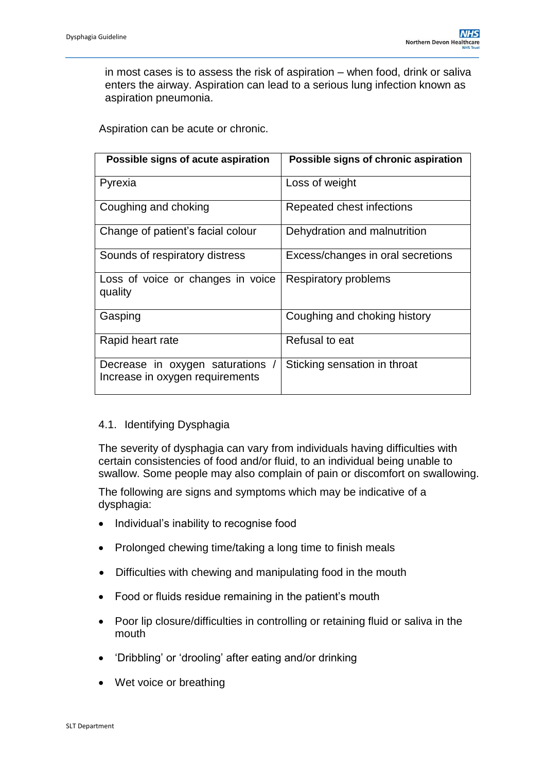in most cases is to assess the risk of aspiration – when food, drink or saliva enters the airway. Aspiration can lead to a serious lung infection known as aspiration pneumonia.

Aspiration can be acute or chronic.

| Possible signs of acute aspiration                                | Possible signs of chronic aspiration |
|-------------------------------------------------------------------|--------------------------------------|
| Pyrexia                                                           | Loss of weight                       |
| Coughing and choking                                              | Repeated chest infections            |
| Change of patient's facial colour                                 | Dehydration and malnutrition         |
| Sounds of respiratory distress                                    | Excess/changes in oral secretions    |
| Loss of voice or changes in voice<br>quality                      | <b>Respiratory problems</b>          |
| Gasping                                                           | Coughing and choking history         |
| Rapid heart rate                                                  | Refusal to eat                       |
| Decrease in oxygen saturations<br>Increase in oxygen requirements | Sticking sensation in throat         |

#### 4.1. Identifying Dysphagia

The severity of dysphagia can vary from individuals having difficulties with certain consistencies of food and/or fluid, to an individual being unable to swallow. Some people may also complain of pain or discomfort on swallowing.

The following are signs and symptoms which may be indicative of a dysphagia:

- Individual's inability to recognise food
- Prolonged chewing time/taking a long time to finish meals
- Difficulties with chewing and manipulating food in the mouth
- Food or fluids residue remaining in the patient's mouth
- Poor lip closure/difficulties in controlling or retaining fluid or saliva in the mouth
- 'Dribbling' or 'drooling' after eating and/or drinking
- Wet voice or breathing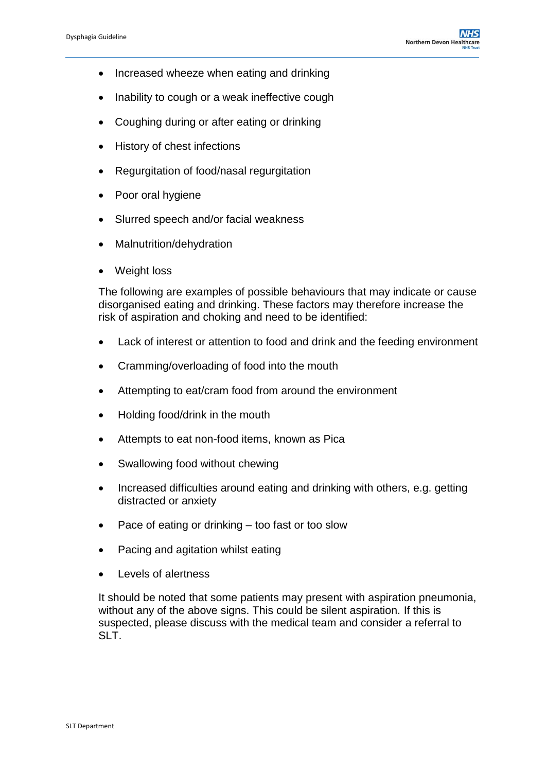- Increased wheeze when eating and drinking
- Inability to cough or a weak ineffective cough
- Coughing during or after eating or drinking
- History of chest infections
- Regurgitation of food/nasal regurgitation
- Poor oral hygiene
- Slurred speech and/or facial weakness
- Malnutrition/dehydration
- Weight loss

The following are examples of possible behaviours that may indicate or cause disorganised eating and drinking. These factors may therefore increase the risk of aspiration and choking and need to be identified:

- Lack of interest or attention to food and drink and the feeding environment
- Cramming/overloading of food into the mouth
- Attempting to eat/cram food from around the environment
- Holding food/drink in the mouth
- Attempts to eat non-food items, known as Pica
- Swallowing food without chewing
- Increased difficulties around eating and drinking with others, e.g. getting distracted or anxiety
- Pace of eating or drinking too fast or too slow
- Pacing and agitation whilst eating
- Levels of alertness

It should be noted that some patients may present with aspiration pneumonia, without any of the above signs. This could be silent aspiration. If this is suspected, please discuss with the medical team and consider a referral to SLT.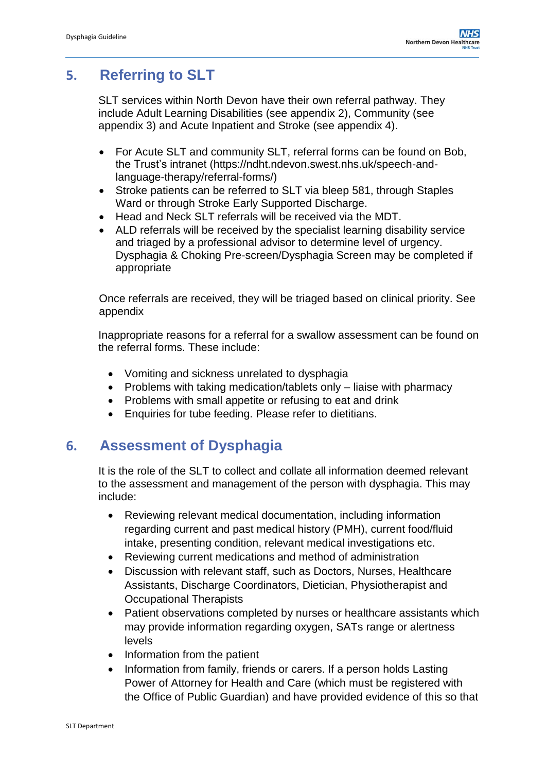# <span id="page-9-0"></span>**5. Referring to SLT**

SLT services within North Devon have their own referral pathway. They include Adult Learning Disabilities (see appendix 2), Community (see appendix 3) and Acute Inpatient and Stroke (see appendix 4).

- For Acute SLT and community SLT, referral forms can be found on Bob, the Trust's intranet (https://ndht.ndevon.swest.nhs.uk/speech-andlanguage-therapy/referral-forms/)
- Stroke patients can be referred to SLT via bleep 581, through Staples Ward or through Stroke Early Supported Discharge.
- Head and Neck SLT referrals will be received via the MDT.
- ALD referrals will be received by the specialist learning disability service and triaged by a professional advisor to determine level of urgency. Dysphagia & Choking Pre-screen/Dysphagia Screen may be completed if appropriate

Once referrals are received, they will be triaged based on clinical priority. See appendix

Inappropriate reasons for a referral for a swallow assessment can be found on the referral forms. These include:

- Vomiting and sickness unrelated to dysphagia
- Problems with taking medication/tablets only  $-$  liaise with pharmacy
- Problems with small appetite or refusing to eat and drink
- Enquiries for tube feeding. Please refer to dietitians.

### <span id="page-9-1"></span>**6. Assessment of Dysphagia**

It is the role of the SLT to collect and collate all information deemed relevant to the assessment and management of the person with dysphagia. This may include:

- Reviewing relevant medical documentation, including information regarding current and past medical history (PMH), current food/fluid intake, presenting condition, relevant medical investigations etc.
- Reviewing current medications and method of administration
- Discussion with relevant staff, such as Doctors, Nurses, Healthcare Assistants, Discharge Coordinators, Dietician, Physiotherapist and Occupational Therapists
- Patient observations completed by nurses or healthcare assistants which may provide information regarding oxygen, SATs range or alertness levels
- Information from the patient
- Information from family, friends or carers. If a person holds Lasting Power of Attorney for Health and Care (which must be registered with the Office of Public Guardian) and have provided evidence of this so that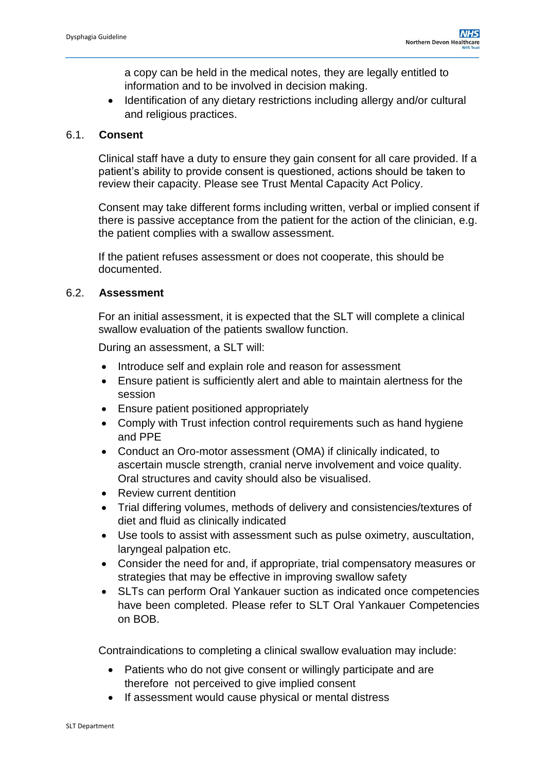a copy can be held in the medical notes, they are legally entitled to information and to be involved in decision making.

 Identification of any dietary restrictions including allergy and/or cultural and religious practices.

#### 6.1. **Consent**

Clinical staff have a duty to ensure they gain consent for all care provided. If a patient's ability to provide consent is questioned, actions should be taken to review their capacity. Please see Trust Mental Capacity Act Policy.

Consent may take different forms including written, verbal or implied consent if there is passive acceptance from the patient for the action of the clinician, e.g. the patient complies with a swallow assessment.

If the patient refuses assessment or does not cooperate, this should be documented.

#### 6.2. **Assessment**

For an initial assessment, it is expected that the SLT will complete a clinical swallow evaluation of the patients swallow function.

During an assessment, a SLT will:

- Introduce self and explain role and reason for assessment
- Ensure patient is sufficiently alert and able to maintain alertness for the session
- Ensure patient positioned appropriately
- Comply with Trust infection control requirements such as hand hygiene and PPE
- Conduct an Oro-motor assessment (OMA) if clinically indicated, to ascertain muscle strength, cranial nerve involvement and voice quality. Oral structures and cavity should also be visualised.
- Review current dentition
- Trial differing volumes, methods of delivery and consistencies/textures of diet and fluid as clinically indicated
- Use tools to assist with assessment such as pulse oximetry, auscultation, laryngeal palpation etc.
- Consider the need for and, if appropriate, trial compensatory measures or strategies that may be effective in improving swallow safety
- SLTs can perform Oral Yankauer suction as indicated once competencies have been completed. Please refer to SLT Oral Yankauer Competencies on BOB.

Contraindications to completing a clinical swallow evaluation may include:

- Patients who do not give consent or willingly participate and are therefore not perceived to give implied consent
- If assessment would cause physical or mental distress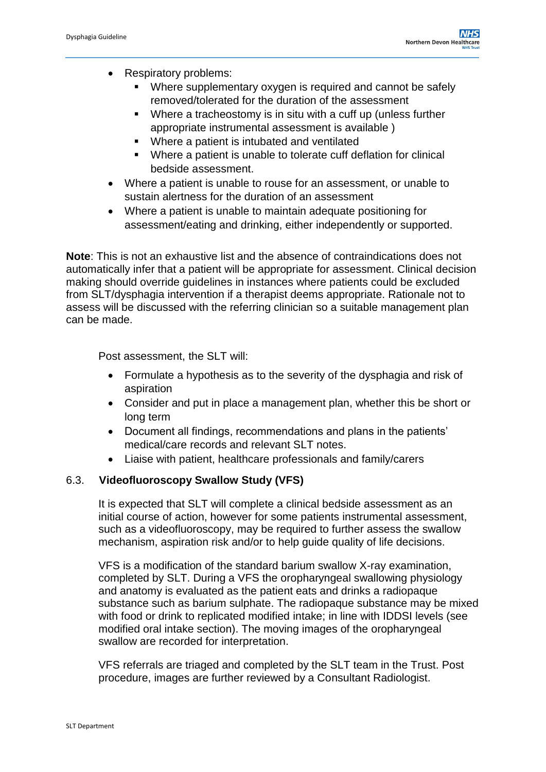- Respiratory problems:
	- Where supplementary oxygen is required and cannot be safely removed/tolerated for the duration of the assessment
	- Where a tracheostomy is in situ with a cuff up (unless further appropriate instrumental assessment is available )
	- Where a patient is intubated and ventilated
	- Where a patient is unable to tolerate cuff deflation for clinical bedside assessment.
- Where a patient is unable to rouse for an assessment, or unable to sustain alertness for the duration of an assessment
- Where a patient is unable to maintain adequate positioning for assessment/eating and drinking, either independently or supported.

**Note**: This is not an exhaustive list and the absence of contraindications does not automatically infer that a patient will be appropriate for assessment. Clinical decision making should override guidelines in instances where patients could be excluded from SLT/dysphagia intervention if a therapist deems appropriate. Rationale not to assess will be discussed with the referring clinician so a suitable management plan can be made.

Post assessment, the SLT will:

- Formulate a hypothesis as to the severity of the dysphagia and risk of aspiration
- Consider and put in place a management plan, whether this be short or long term
- Document all findings, recommendations and plans in the patients' medical/care records and relevant SLT notes.
- Liaise with patient, healthcare professionals and family/carers

#### 6.3. **Videofluoroscopy Swallow Study (VFS)**

It is expected that SLT will complete a clinical bedside assessment as an initial course of action, however for some patients instrumental assessment, such as a videofluoroscopy, may be required to further assess the swallow mechanism, aspiration risk and/or to help guide quality of life decisions.

VFS is a modification of the standard barium swallow X-ray examination, completed by SLT. During a VFS the oropharyngeal swallowing physiology and anatomy is evaluated as the patient eats and drinks a radiopaque substance such as barium sulphate. The radiopaque substance may be mixed with food or drink to replicated modified intake; in line with IDDSI levels (see modified oral intake section). The moving images of the oropharyngeal swallow are recorded for interpretation.

VFS referrals are triaged and completed by the SLT team in the Trust. Post procedure, images are further reviewed by a Consultant Radiologist.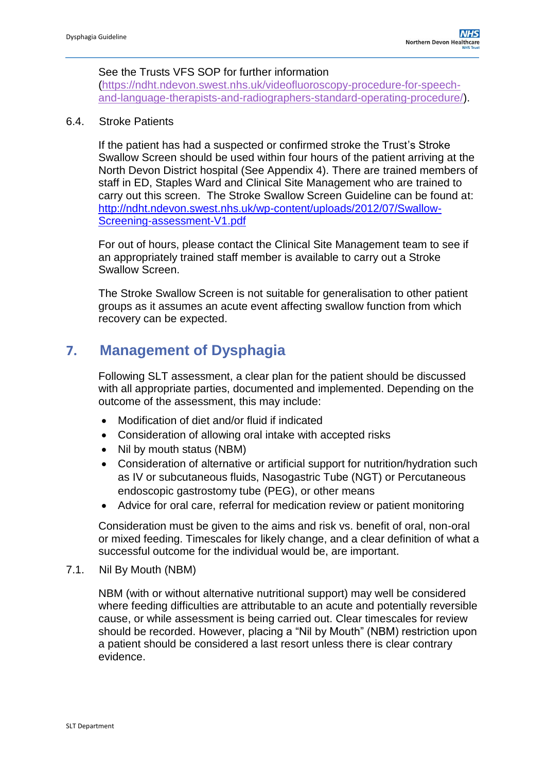#### See the Trusts VFS SOP for further information

[\(https://ndht.ndevon.swest.nhs.uk/videofluoroscopy-procedure-for-speech](https://ndht.ndevon.swest.nhs.uk/videofluoroscopy-procedure-for-speech-and-language-therapists-and-radiographers-standard-operating-procedure/)[and-language-therapists-and-radiographers-standard-operating-procedure/\)](https://ndht.ndevon.swest.nhs.uk/videofluoroscopy-procedure-for-speech-and-language-therapists-and-radiographers-standard-operating-procedure/).

#### 6.4. Stroke Patients

If the patient has had a suspected or confirmed stroke the Trust's Stroke Swallow Screen should be used within four hours of the patient arriving at the North Devon District hospital (See Appendix 4). There are trained members of staff in ED, Staples Ward and Clinical Site Management who are trained to carry out this screen. The Stroke Swallow Screen Guideline can be found at: [http://ndht.ndevon.swest.nhs.uk/wp-content/uploads/2012/07/Swallow-](http://ndht.ndevon.swest.nhs.uk/wp-content/uploads/2012/07/Swallow-Screening-assessment-V1.pdf)[Screening-assessment-V1.pdf](http://ndht.ndevon.swest.nhs.uk/wp-content/uploads/2012/07/Swallow-Screening-assessment-V1.pdf)

For out of hours, please contact the Clinical Site Management team to see if an appropriately trained staff member is available to carry out a Stroke Swallow Screen.

The Stroke Swallow Screen is not suitable for generalisation to other patient groups as it assumes an acute event affecting swallow function from which recovery can be expected.

### <span id="page-12-0"></span>**7. Management of Dysphagia**

Following SLT assessment, a clear plan for the patient should be discussed with all appropriate parties, documented and implemented. Depending on the outcome of the assessment, this may include:

- Modification of diet and/or fluid if indicated
- Consideration of allowing oral intake with accepted risks
- Nil by mouth status (NBM)
- Consideration of alternative or artificial support for nutrition/hydration such as IV or subcutaneous fluids, Nasogastric Tube (NGT) or Percutaneous endoscopic gastrostomy tube (PEG), or other means
- Advice for oral care, referral for medication review or patient monitoring

Consideration must be given to the aims and risk vs. benefit of oral, non-oral or mixed feeding. Timescales for likely change, and a clear definition of what a successful outcome for the individual would be, are important.

7.1. Nil By Mouth (NBM)

NBM (with or without alternative nutritional support) may well be considered where feeding difficulties are attributable to an acute and potentially reversible cause, or while assessment is being carried out. Clear timescales for review should be recorded. However, placing a "Nil by Mouth" (NBM) restriction upon a patient should be considered a last resort unless there is clear contrary evidence.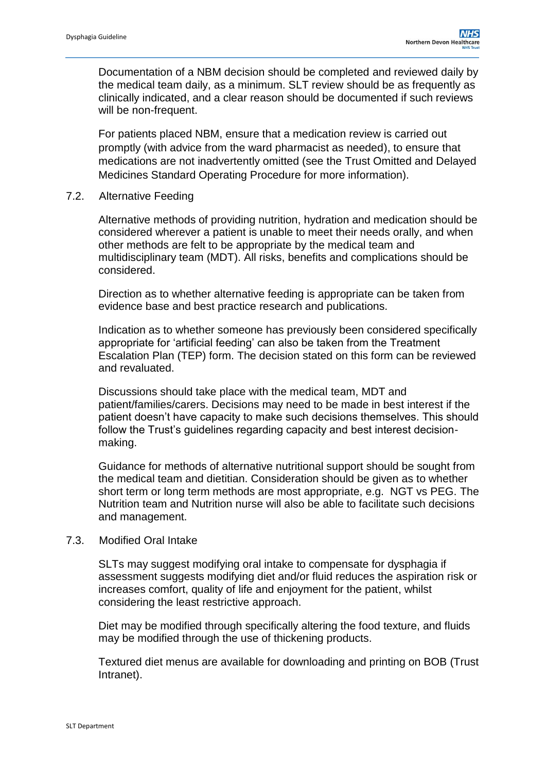Documentation of a NBM decision should be completed and reviewed daily by the medical team daily, as a minimum. SLT review should be as frequently as clinically indicated, and a clear reason should be documented if such reviews will be non-frequent.

For patients placed NBM, ensure that a medication review is carried out promptly (with advice from the ward pharmacist as needed), to ensure that medications are not inadvertently omitted (see the [Trust Omitted and Delayed](https://ndht.ndevon.swest.nhs.uk/omitted-and-delayed-medicines-standard-operating-procedure/)  [Medicines Standard Operating Procedure](https://ndht.ndevon.swest.nhs.uk/omitted-and-delayed-medicines-standard-operating-procedure/) for more information).

7.2. Alternative Feeding

Alternative methods of providing nutrition, hydration and medication should be considered wherever a patient is unable to meet their needs orally, and when other methods are felt to be appropriate by the medical team and multidisciplinary team (MDT). All risks, benefits and complications should be considered.

Direction as to whether alternative feeding is appropriate can be taken from evidence base and best practice research and publications.

Indication as to whether someone has previously been considered specifically appropriate for 'artificial feeding' can also be taken from the Treatment Escalation Plan (TEP) form. The decision stated on this form can be reviewed and revaluated.

Discussions should take place with the medical team, MDT and patient/families/carers. Decisions may need to be made in best interest if the patient doesn't have capacity to make such decisions themselves. This should follow the Trust's guidelines regarding capacity and best interest decisionmaking.

Guidance for methods of alternative nutritional support should be sought from the medical team and dietitian. Consideration should be given as to whether short term or long term methods are most appropriate, e.g. NGT vs PEG. The Nutrition team and Nutrition nurse will also be able to facilitate such decisions and management.

#### 7.3. Modified Oral Intake

SLTs may suggest modifying oral intake to compensate for dysphagia if assessment suggests modifying diet and/or fluid reduces the aspiration risk or increases comfort, quality of life and enjoyment for the patient, whilst considering the least restrictive approach.

Diet may be modified through specifically altering the food texture, and fluids may be modified through the use of thickening products.

Textured diet menus are available for downloading and printing on BOB (Trust Intranet).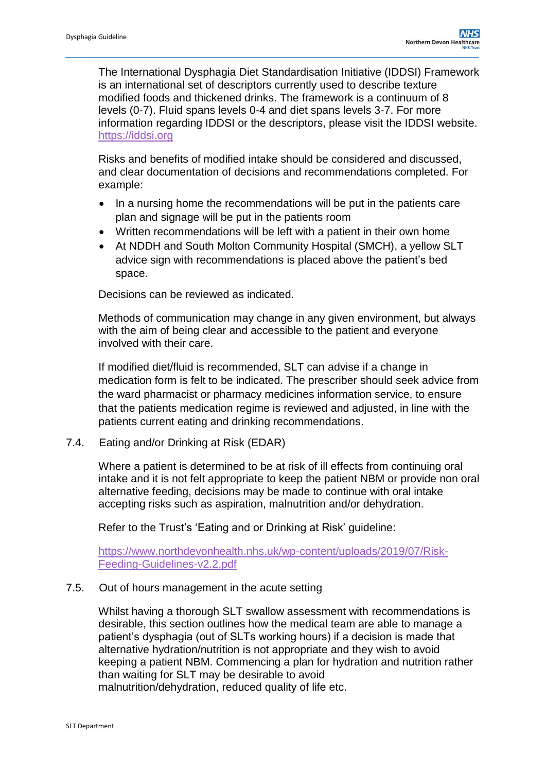The International Dysphagia Diet Standardisation Initiative (IDDSI) Framework is an international set of descriptors currently used to describe texture modified foods and thickened drinks. The framework is a continuum of 8 levels (0-7). Fluid spans levels 0-4 and diet spans levels 3-7. For more information regarding IDDSI or the descriptors, please visit the IDDSI website. [https://iddsi.org](https://iddsi.org/)

Risks and benefits of modified intake should be considered and discussed, and clear documentation of decisions and recommendations completed. For example:

- In a nursing home the recommendations will be put in the patients care plan and signage will be put in the patients room
- Written recommendations will be left with a patient in their own home
- At NDDH and South Molton Community Hospital (SMCH), a yellow SLT advice sign with recommendations is placed above the patient's bed space.

Decisions can be reviewed as indicated.

Methods of communication may change in any given environment, but always with the aim of being clear and accessible to the patient and everyone involved with their care.

If modified diet/fluid is recommended, SLT can advise if a change in medication form is felt to be indicated. The prescriber should seek advice from the ward pharmacist or pharmacy medicines information service, to ensure that the patients medication regime is reviewed and adjusted, in line with the patients current eating and drinking recommendations.

7.4. Eating and/or Drinking at Risk (EDAR)

Where a patient is determined to be at risk of ill effects from continuing oral intake and it is not felt appropriate to keep the patient NBM or provide non oral alternative feeding, decisions may be made to continue with oral intake accepting risks such as aspiration, malnutrition and/or dehydration.

Refer to the Trust's 'Eating and or Drinking at Risk' guideline:

[https://www.northdevonhealth.nhs.uk/wp-content/uploads/2019/07/Risk-](https://www.northdevonhealth.nhs.uk/wp-content/uploads/2019/07/Risk-Feeding-Guidelines-v2.2.pdf)[Feeding-Guidelines-v2.2.pdf](https://www.northdevonhealth.nhs.uk/wp-content/uploads/2019/07/Risk-Feeding-Guidelines-v2.2.pdf)

#### 7.5. Out of hours management in the acute setting

Whilst having a thorough SLT swallow assessment with recommendations is desirable, this section outlines how the medical team are able to manage a patient's dysphagia (out of SLTs working hours) if a decision is made that alternative hydration/nutrition is not appropriate and they wish to avoid keeping a patient NBM. Commencing a plan for hydration and nutrition rather than waiting for SLT may be desirable to avoid malnutrition/dehydration, reduced quality of life etc.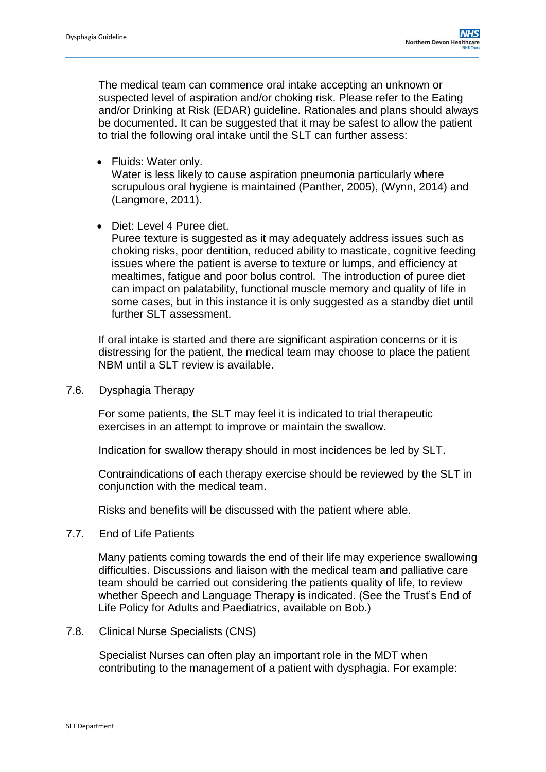The medical team can commence oral intake accepting an unknown or suspected level of aspiration and/or choking risk. Please refer to the Eating and/or Drinking at Risk (EDAR) guideline. Rationales and plans should always be documented. It can be suggested that it may be safest to allow the patient to trial the following oral intake until the SLT can further assess:

• Fluids: Water only.

Water is less likely to cause aspiration pneumonia particularly where scrupulous oral hygiene is maintained (Panther, 2005), (Wynn, 2014) and (Langmore, 2011).

• Diet: Level 4 Puree diet.

Puree texture is suggested as it may adequately address issues such as choking risks, poor dentition, reduced ability to masticate, cognitive feeding issues where the patient is averse to texture or lumps, and efficiency at mealtimes, fatigue and poor bolus control. The introduction of puree diet can impact on palatability, functional muscle memory and quality of life in some cases, but in this instance it is only suggested as a standby diet until further SLT assessment.

If oral intake is started and there are significant aspiration concerns or it is distressing for the patient, the medical team may choose to place the patient NBM until a SLT review is available.

7.6. Dysphagia Therapy

For some patients, the SLT may feel it is indicated to trial therapeutic exercises in an attempt to improve or maintain the swallow.

Indication for swallow therapy should in most incidences be led by SLT.

Contraindications of each therapy exercise should be reviewed by the SLT in conjunction with the medical team.

Risks and benefits will be discussed with the patient where able.

7.7. End of Life Patients

Many patients coming towards the end of their life may experience swallowing difficulties. Discussions and liaison with the medical team and palliative care team should be carried out considering the patients quality of life, to review whether Speech and Language Therapy is indicated. (See the Trust's End of Life Policy for Adults and Paediatrics, available on Bob.)

7.8. Clinical Nurse Specialists (CNS)

Specialist Nurses can often play an important role in the MDT when contributing to the management of a patient with dysphagia. For example: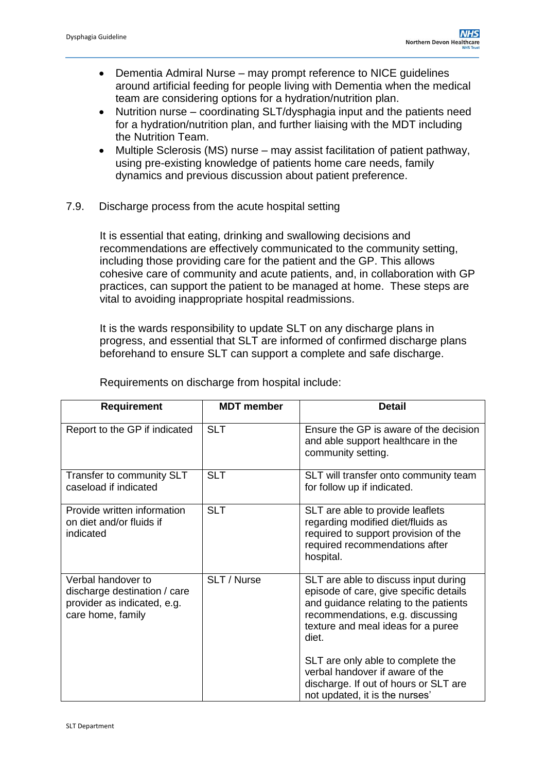- Dementia Admiral Nurse may prompt reference to NICE guidelines around artificial feeding for people living with Dementia when the medical team are considering options for a hydration/nutrition plan.
- Nutrition nurse coordinating SLT/dysphagia input and the patients need for a hydration/nutrition plan, and further liaising with the MDT including the Nutrition Team.
- Multiple Sclerosis (MS) nurse may assist facilitation of patient pathway, using pre-existing knowledge of patients home care needs, family dynamics and previous discussion about patient preference.
- 7.9. Discharge process from the acute hospital setting

It is essential that eating, drinking and swallowing decisions and recommendations are effectively communicated to the community setting, including those providing care for the patient and the GP. This allows cohesive care of community and acute patients, and, in collaboration with GP practices, can support the patient to be managed at home. These steps are vital to avoiding inappropriate hospital readmissions.

It is the wards responsibility to update SLT on any discharge plans in progress, and essential that SLT are informed of confirmed discharge plans beforehand to ensure SLT can support a complete and safe discharge.

| <b>Requirement</b>                                                                                     | <b>MDT</b> member | <b>Detail</b>                                                                                                                                                                                              |
|--------------------------------------------------------------------------------------------------------|-------------------|------------------------------------------------------------------------------------------------------------------------------------------------------------------------------------------------------------|
| Report to the GP if indicated                                                                          | <b>SLT</b>        | Ensure the GP is aware of the decision<br>and able support healthcare in the<br>community setting.                                                                                                         |
| Transfer to community SLT<br>caseload if indicated                                                     | <b>SLT</b>        | SLT will transfer onto community team<br>for follow up if indicated.                                                                                                                                       |
| Provide written information<br>on diet and/or fluids if<br>indicated                                   | <b>SLT</b>        | SLT are able to provide leaflets<br>regarding modified diet/fluids as<br>required to support provision of the<br>required recommendations after<br>hospital.                                               |
| Verbal handover to<br>discharge destination / care<br>provider as indicated, e.g.<br>care home, family | SLT / Nurse       | SLT are able to discuss input during<br>episode of care, give specific details<br>and guidance relating to the patients<br>recommendations, e.g. discussing<br>texture and meal ideas for a puree<br>diet. |
|                                                                                                        |                   | SLT are only able to complete the<br>verbal handover if aware of the<br>discharge. If out of hours or SLT are<br>not updated, it is the nurses'                                                            |

Requirements on discharge from hospital include: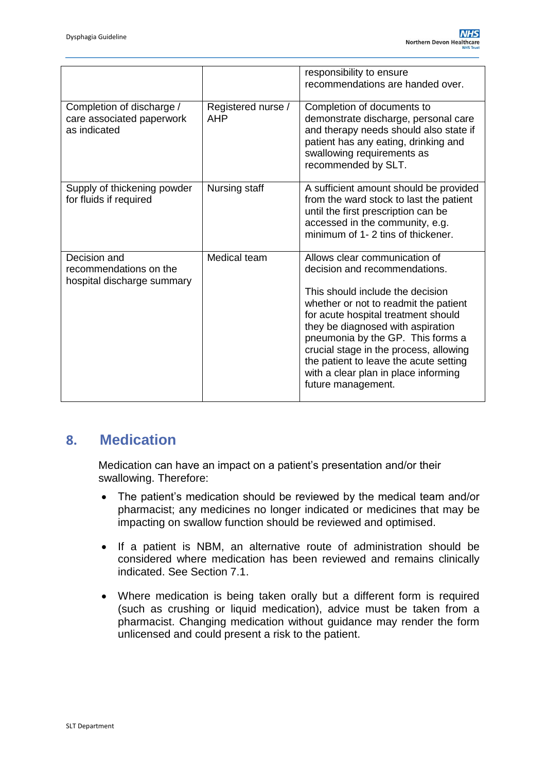|                                                                        |                           | responsibility to ensure<br>recommendations are handed over.                                                                                                                                                                                                                                                                                                                                                   |
|------------------------------------------------------------------------|---------------------------|----------------------------------------------------------------------------------------------------------------------------------------------------------------------------------------------------------------------------------------------------------------------------------------------------------------------------------------------------------------------------------------------------------------|
| Completion of discharge /<br>care associated paperwork<br>as indicated | Registered nurse /<br>AHP | Completion of documents to<br>demonstrate discharge, personal care<br>and therapy needs should also state if<br>patient has any eating, drinking and<br>swallowing requirements as<br>recommended by SLT.                                                                                                                                                                                                      |
| Supply of thickening powder<br>for fluids if required                  | Nursing staff             | A sufficient amount should be provided<br>from the ward stock to last the patient<br>until the first prescription can be<br>accessed in the community, e.g.<br>minimum of 1-2 tins of thickener.                                                                                                                                                                                                               |
| Decision and<br>recommendations on the<br>hospital discharge summary   | Medical team              | Allows clear communication of<br>decision and recommendations.<br>This should include the decision<br>whether or not to readmit the patient<br>for acute hospital treatment should<br>they be diagnosed with aspiration<br>pneumonia by the GP. This forms a<br>crucial stage in the process, allowing<br>the patient to leave the acute setting<br>with a clear plan in place informing<br>future management. |

### <span id="page-17-0"></span>**8. Medication**

Medication can have an impact on a patient's presentation and/or their swallowing. Therefore:

- The patient's medication should be reviewed by the medical team and/or pharmacist; any medicines no longer indicated or medicines that may be impacting on swallow function should be reviewed and optimised.
- If a patient is NBM, an alternative route of administration should be considered where medication has been reviewed and remains clinically indicated. See Section 7.1.
- Where medication is being taken orally but a different form is required (such as crushing or liquid medication), advice must be taken from a pharmacist. Changing medication without guidance may render the form unlicensed and could present a risk to the patient.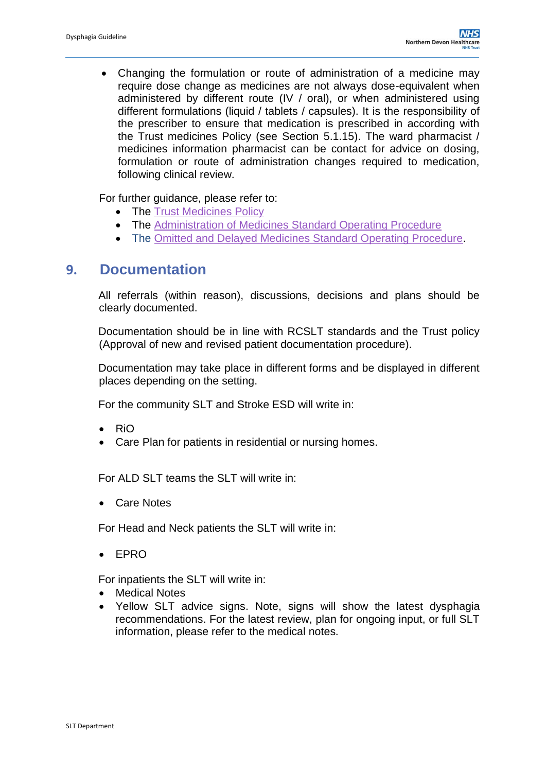Changing the formulation or route of administration of a medicine may require dose change as medicines are not always dose-equivalent when administered by different route (IV / oral), or when administered using different formulations (liquid / tablets / capsules). It is the responsibility of the prescriber to ensure that medication is prescribed in according with the Trust medicines Policy (see Section 5.1.15). The ward pharmacist / medicines information pharmacist can be contact for advice on dosing, formulation or route of administration changes required to medication, following clinical review.

For further guidance, please refer to:

- The [Trust Medicines Policy](https://www.northdevonhealth.nhs.uk/wp-content/uploads/2020/03/Medicines-Policy-V5.0.pdf)
- The [Administration of Medicines Standard Operating Procedure](https://ndht.ndevon.swest.nhs.uk/administration-of-medicines-in-community-hospitals-standard-operating-procedure/)
- The [Omitted and Delayed Medicines Standard Operating Procedure.](https://ndht.ndevon.swest.nhs.uk/omitted-and-delayed-medicines-standard-operating-procedure/)

### <span id="page-18-0"></span>**9. Documentation**

All referrals (within reason), discussions, decisions and plans should be clearly documented.

Documentation should be in line with RCSLT standards and the Trust policy (Approval of new and revised patient documentation procedure).

Documentation may take place in different forms and be displayed in different places depending on the setting.

For the community SLT and Stroke ESD will write in:

- $\bullet$  RiO
- Care Plan for patients in residential or nursing homes.

For ALD SLT teams the SLT will write in:

Care Notes

For Head and Neck patients the SLT will write in:

EPRO

For inpatients the SLT will write in:

- Medical Notes
- Yellow SLT advice signs. Note, signs will show the latest dysphagia recommendations. For the latest review, plan for ongoing input, or full SLT information, please refer to the medical notes.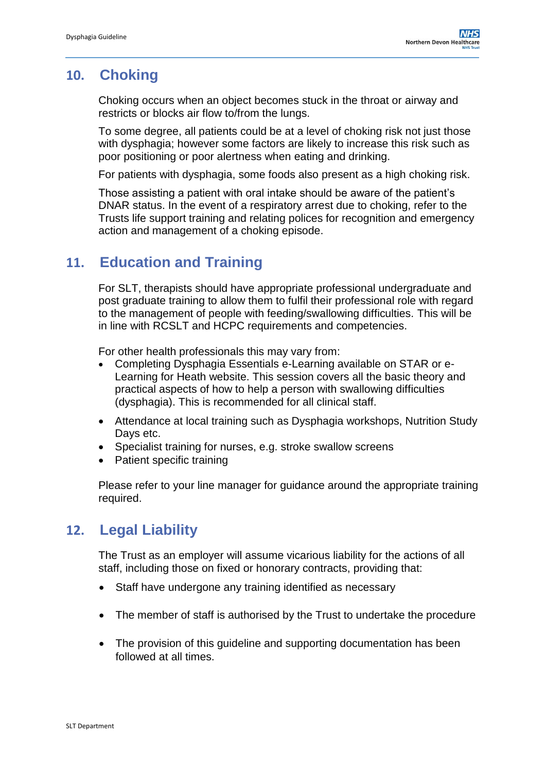# <span id="page-19-0"></span>**10. Choking**

Choking occurs when an object becomes stuck in the throat or airway and restricts or blocks air flow to/from the lungs.

To some degree, all patients could be at a level of choking risk not just those with dysphagia; however some factors are likely to increase this risk such as poor positioning or poor alertness when eating and drinking.

For patients with dysphagia, some foods also present as a high choking risk.

Those assisting a patient with oral intake should be aware of the patient's DNAR status. In the event of a respiratory arrest due to choking, refer to the Trusts life support training and relating polices for recognition and emergency action and management of a choking episode.

# <span id="page-19-1"></span>**11. Education and Training**

For SLT, therapists should have appropriate professional undergraduate and post graduate training to allow them to fulfil their professional role with regard to the management of people with feeding/swallowing difficulties. This will be in line with RCSLT and HCPC requirements and competencies.

For other health professionals this may vary from:

- Completing Dysphagia Essentials e-Learning available on STAR or e-Learning for Heath website. This session covers all the basic theory and practical aspects of how to help a person with swallowing difficulties (dysphagia). This is recommended for all clinical staff.
- Attendance at local training such as Dysphagia workshops, Nutrition Study Days etc.
- Specialist training for nurses, e.g. stroke swallow screens
- Patient specific training

Please refer to your line manager for guidance around the appropriate training required.

### <span id="page-19-2"></span>**12. Legal Liability**

The Trust as an employer will assume vicarious liability for the actions of all staff, including those on fixed or honorary contracts, providing that:

- Staff have undergone any training identified as necessary
- The member of staff is authorised by the Trust to undertake the procedure
- The provision of this guideline and supporting documentation has been followed at all times.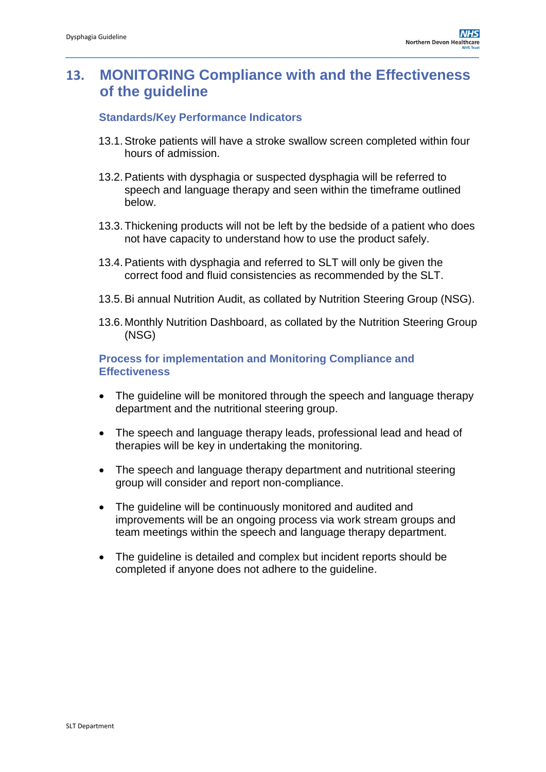# <span id="page-20-0"></span>**13. MONITORING Compliance with and the Effectiveness of the guideline**

#### **Standards/Key Performance Indicators**

- 13.1.Stroke patients will have a stroke swallow screen completed within four hours of admission.
- 13.2.Patients with dysphagia or suspected dysphagia will be referred to speech and language therapy and seen within the timeframe outlined below.
- 13.3.Thickening products will not be left by the bedside of a patient who does not have capacity to understand how to use the product safely.
- 13.4.Patients with dysphagia and referred to SLT will only be given the correct food and fluid consistencies as recommended by the SLT.
- 13.5.Bi annual Nutrition Audit, as collated by Nutrition Steering Group (NSG).
- 13.6. Monthly Nutrition Dashboard, as collated by the Nutrition Steering Group (NSG)

**Process for implementation and Monitoring Compliance and Effectiveness**

- The quideline will be monitored through the speech and language therapy department and the nutritional steering group.
- The speech and language therapy leads, professional lead and head of therapies will be key in undertaking the monitoring.
- The speech and language therapy department and nutritional steering group will consider and report non-compliance.
- The quideline will be continuously monitored and audited and improvements will be an ongoing process via work stream groups and team meetings within the speech and language therapy department.
- The guideline is detailed and complex but incident reports should be completed if anyone does not adhere to the guideline.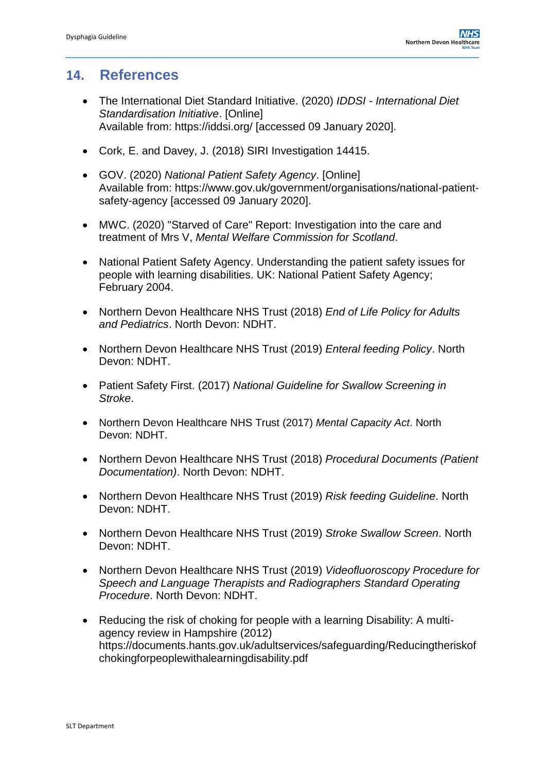### <span id="page-21-0"></span>**14. References**

- The International Diet Standard Initiative. (2020) *IDDSI - International Diet Standardisation Initiative*. [Online] Available from: <https://iddsi.org/> [accessed 09 January 2020].
- Cork, E. and Davey, J. (2018) SIRI Investigation 14415.
- GOV. (2020) *National Patient Safety Agency*. [Online] Available from: [https://www.gov.uk/government/organisations/national-patient](https://www.gov.uk/government/organisations/national-patient-safety-agency)[safety-agency](https://www.gov.uk/government/organisations/national-patient-safety-agency) [accessed 09 January 2020].
- MWC. (2020) "Starved of Care" Report: Investigation into the care and treatment of Mrs V, *Mental Welfare Commission for Scotland*.
- National Patient Safety Agency. Understanding the patient safety issues for people with learning disabilities. UK: National Patient Safety Agency; February 2004.
- Northern Devon Healthcare NHS Trust (2018) *End of Life Policy for Adults and Pediatrics*. North Devon: NDHT.
- Northern Devon Healthcare NHS Trust (2019) *Enteral feeding Policy*. North Devon: NDHT.
- Patient Safety First. (2017) *National Guideline for Swallow Screening in Stroke*.
- Northern Devon Healthcare NHS Trust (2017) *Mental Capacity Act*. North Devon: NDHT.
- Northern Devon Healthcare NHS Trust (2018) *Procedural Documents (Patient Documentation)*. North Devon: NDHT.
- Northern Devon Healthcare NHS Trust (2019) *Risk feeding Guideline*. North Devon: NDHT.
- Northern Devon Healthcare NHS Trust (2019) *Stroke Swallow Screen*. North Devon: NDHT.
- Northern Devon Healthcare NHS Trust (2019) *Videofluoroscopy Procedure for Speech and Language Therapists and Radiographers Standard Operating Procedure*. North Devon: NDHT.
- Reducing the risk of choking for people with a learning Disability: A multiagency review in Hampshire (2012) [https://documents.hants.gov.uk/adultservices/safeguarding/Reducingtheriskof](https://documents.hants.gov.uk/adultservices/safeguarding/Reducingtheriskofchokingforpeoplewithalearningdisability.pdf) [chokingforpeoplewithalearningdisability.pdf](https://documents.hants.gov.uk/adultservices/safeguarding/Reducingtheriskofchokingforpeoplewithalearningdisability.pdf)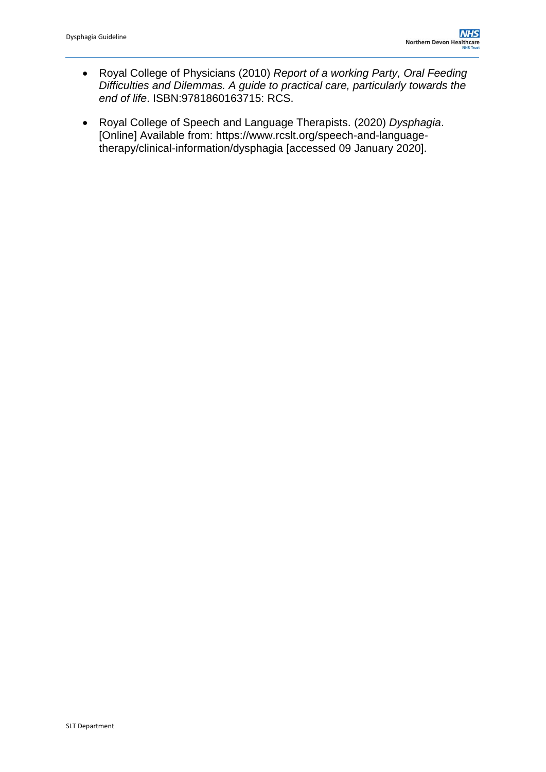- Royal College of Physicians (2010) *Report of a working Party, Oral Feeding Difficulties and Dilemmas. A guide to practical care, particularly towards the end of life*. ISBN:9781860163715: RCS.
- Royal College of Speech and Language Therapists. (2020) *Dysphagia*. [Online] Available from: [https://www.rcslt.org/speech-and-language](https://www.rcslt.org/speech-and-language-therapy/clinical-information/dysphagia)[therapy/clinical-information/dysphagia](https://www.rcslt.org/speech-and-language-therapy/clinical-information/dysphagia) [accessed 09 January 2020].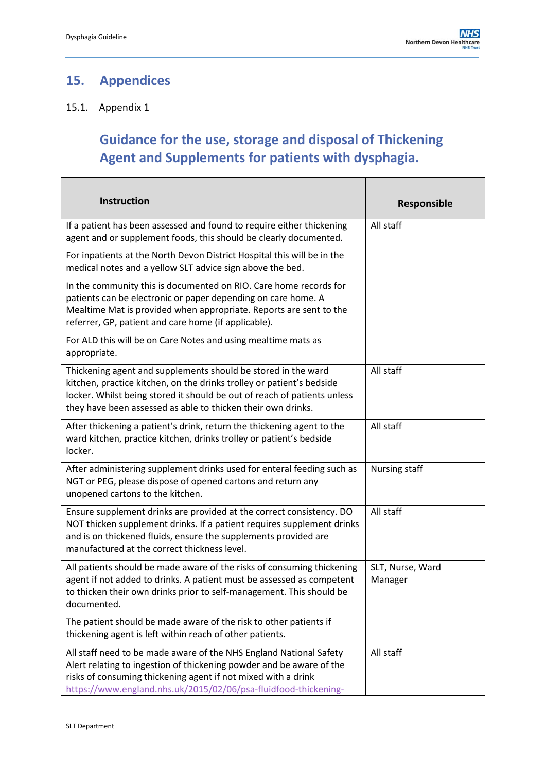$\mathcal{L}_{\mathcal{A}}$ 

# <span id="page-23-0"></span>**15. Appendices**

### 15.1. Appendix 1

Г

# **Guidance for the use, storage and disposal of Thickening Agent and Supplements for patients with dysphagia.**

| <b>Instruction</b>                                                                                                                                                                                                                                                                 | <b>Responsible</b>          |
|------------------------------------------------------------------------------------------------------------------------------------------------------------------------------------------------------------------------------------------------------------------------------------|-----------------------------|
| If a patient has been assessed and found to require either thickening<br>agent and or supplement foods, this should be clearly documented.                                                                                                                                         | All staff                   |
| For inpatients at the North Devon District Hospital this will be in the<br>medical notes and a yellow SLT advice sign above the bed.                                                                                                                                               |                             |
| In the community this is documented on RIO. Care home records for<br>patients can be electronic or paper depending on care home. A<br>Mealtime Mat is provided when appropriate. Reports are sent to the<br>referrer, GP, patient and care home (if applicable).                   |                             |
| For ALD this will be on Care Notes and using mealtime mats as<br>appropriate.                                                                                                                                                                                                      |                             |
| Thickening agent and supplements should be stored in the ward<br>kitchen, practice kitchen, on the drinks trolley or patient's bedside<br>locker. Whilst being stored it should be out of reach of patients unless<br>they have been assessed as able to thicken their own drinks. | All staff                   |
| After thickening a patient's drink, return the thickening agent to the<br>ward kitchen, practice kitchen, drinks trolley or patient's bedside<br>locker.                                                                                                                           | All staff                   |
| After administering supplement drinks used for enteral feeding such as<br>NGT or PEG, please dispose of opened cartons and return any<br>unopened cartons to the kitchen.                                                                                                          | Nursing staff               |
| Ensure supplement drinks are provided at the correct consistency. DO<br>NOT thicken supplement drinks. If a patient requires supplement drinks<br>and is on thickened fluids, ensure the supplements provided are<br>manufactured at the correct thickness level.                  | All staff                   |
| All patients should be made aware of the risks of consuming thickening<br>agent if not added to drinks. A patient must be assessed as competent<br>to thicken their own drinks prior to self-management. This should be<br>documented.                                             | SLT, Nurse, Ward<br>Manager |
| The patient should be made aware of the risk to other patients if<br>thickening agent is left within reach of other patients.                                                                                                                                                      |                             |
| All staff need to be made aware of the NHS England National Safety<br>Alert relating to ingestion of thickening powder and be aware of the<br>risks of consuming thickening agent if not mixed with a drink<br>https://www.england.nhs.uk/2015/02/06/psa-fluidfood-thickening-     | All staff                   |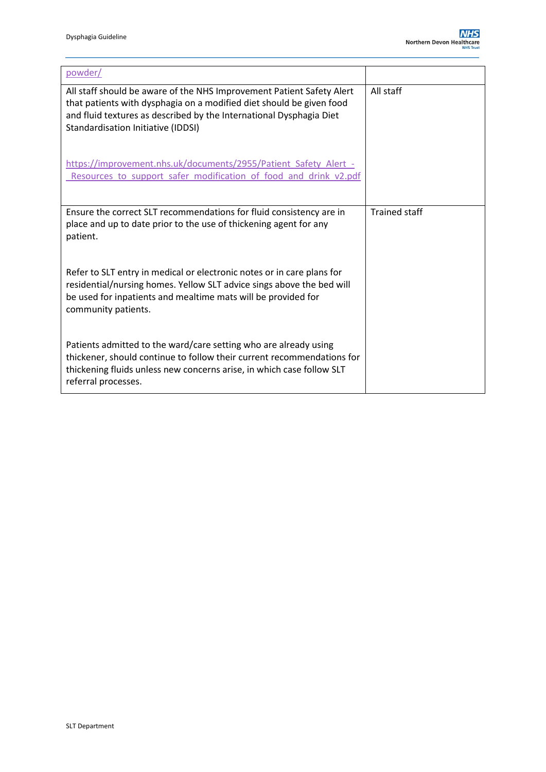| powder/                                                                                                                                                                                                                                                    |                      |
|------------------------------------------------------------------------------------------------------------------------------------------------------------------------------------------------------------------------------------------------------------|----------------------|
| All staff should be aware of the NHS Improvement Patient Safety Alert<br>that patients with dysphagia on a modified diet should be given food<br>and fluid textures as described by the International Dysphagia Diet<br>Standardisation Initiative (IDDSI) | All staff            |
| https://improvement.nhs.uk/documents/2955/Patient_Safety_Alert_-<br>Resources to support safer modification of food and drink v2.pdf                                                                                                                       |                      |
| Ensure the correct SLT recommendations for fluid consistency are in<br>place and up to date prior to the use of thickening agent for any<br>patient.                                                                                                       | <b>Trained staff</b> |
| Refer to SLT entry in medical or electronic notes or in care plans for<br>residential/nursing homes. Yellow SLT advice sings above the bed will<br>be used for inpatients and mealtime mats will be provided for<br>community patients.                    |                      |
| Patients admitted to the ward/care setting who are already using<br>thickener, should continue to follow their current recommendations for<br>thickening fluids unless new concerns arise, in which case follow SLT<br>referral processes.                 |                      |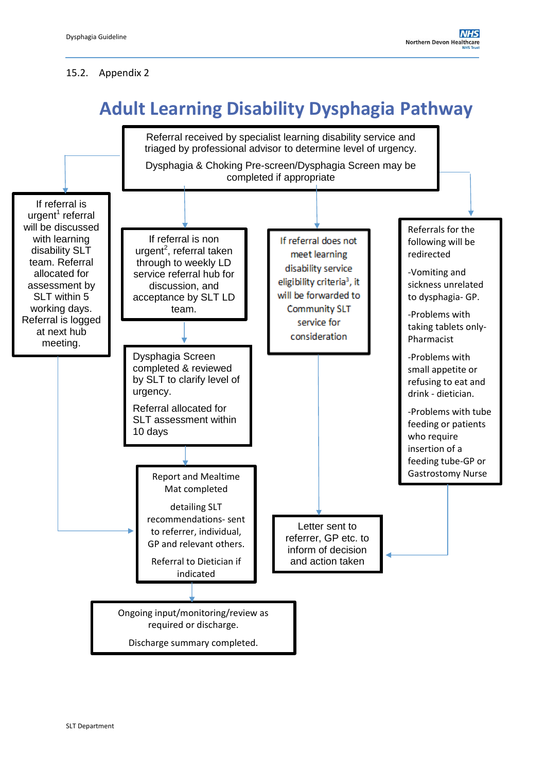#### 15.2. Appendix 2

# **Adult Learning Disability Dysphagia Pathway**

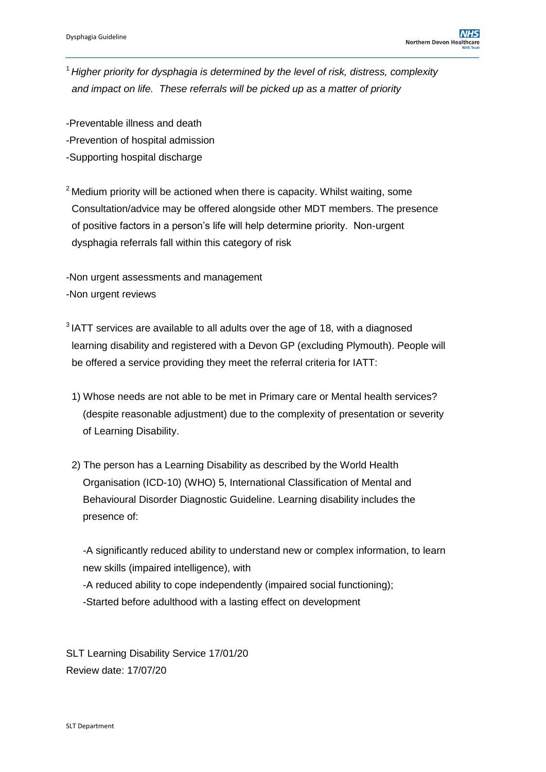<sup>1</sup>*Higher priority for dysphagia is determined by the level of risk, distress, complexity and impact on life. These referrals will be picked up as a matter of priority*

- -Preventable illness and death
- -Prevention of hospital admission
- -Supporting hospital discharge
- $2^{\circ}$  Medium priority will be actioned when there is capacity. Whilst waiting, some Consultation/advice may be offered alongside other MDT members. The presence of positive factors in a person's life will help determine priority. Non-urgent dysphagia referrals fall within this category of risk

-Non urgent assessments and management -Non urgent reviews

- $3$  IATT services are available to all adults over the age of 18, with a diagnosed learning disability and registered with a Devon GP (excluding Plymouth). People will be offered a service providing they meet the referral criteria for IATT:
	- 1) Whose needs are not able to be met in Primary care or Mental health services? (despite reasonable adjustment) due to the complexity of presentation or severity of Learning Disability.
	- 2) The person has a Learning Disability as described by the World Health Organisation (ICD-10) (WHO) 5, International Classification of Mental and Behavioural Disorder Diagnostic Guideline. Learning disability includes the presence of:

 -A significantly reduced ability to understand new or complex information, to learn new skills (impaired intelligence), with

-A reduced ability to cope independently (impaired social functioning);

-Started before adulthood with a lasting effect on development

SLT Learning Disability Service 17/01/20 Review date: 17/07/20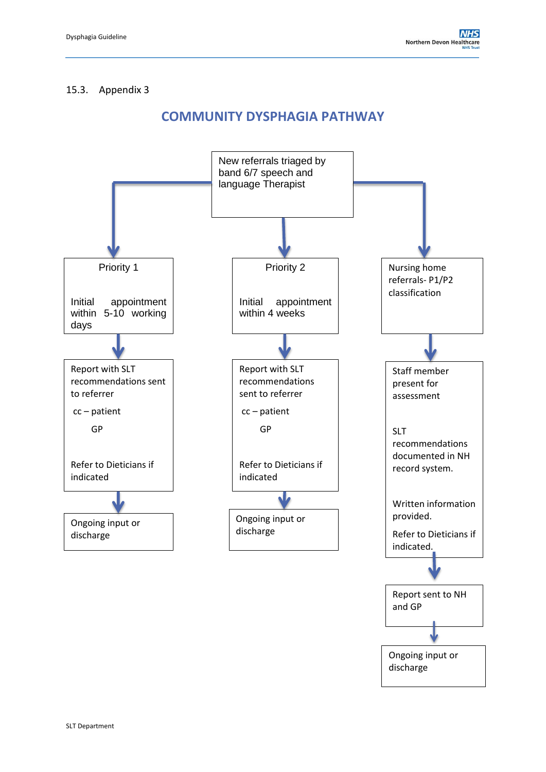#### 15.3. Appendix 3

### **COMMUNITY DYSPHAGIA PATHWAY**

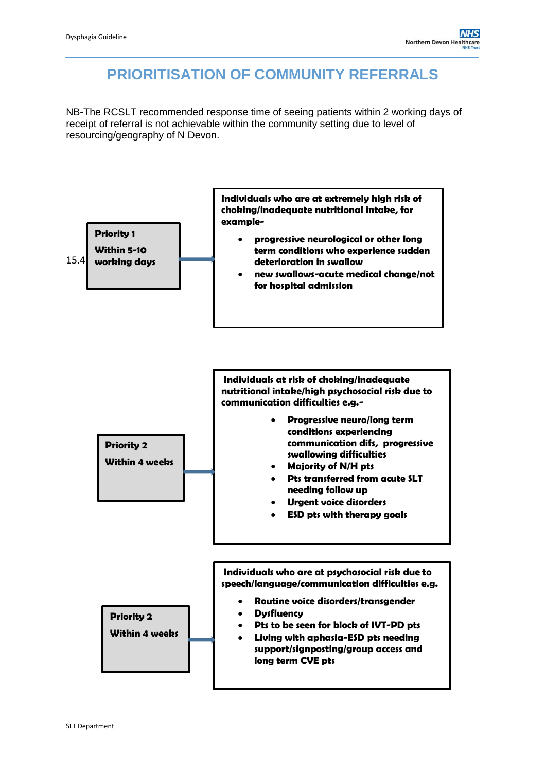# **PRIORITISATION OF COMMUNITY REFERRALS**

NB-The RCSLT recommended response time of seeing patients within 2 working days of receipt of referral is not achievable within the community setting due to level of resourcing/geography of N Devon.

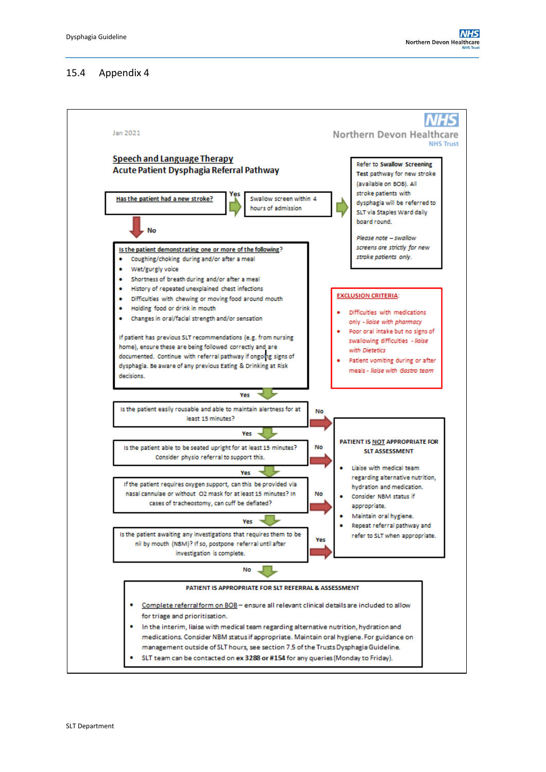#### 15.4 Appendix 4